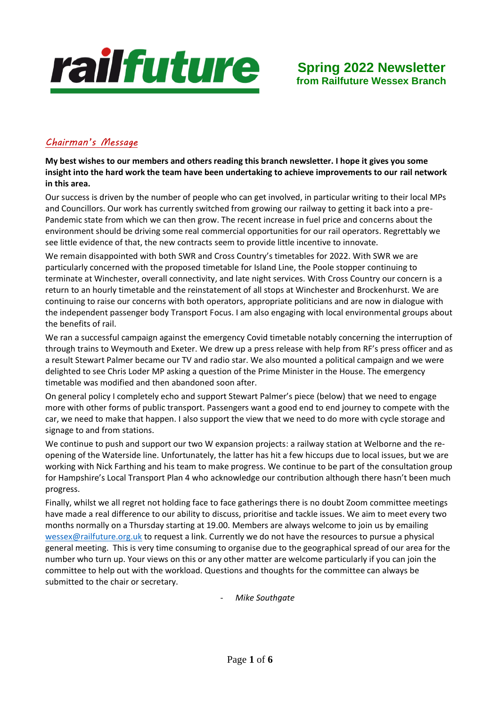

# *Chairman's Message*

**My best wishes to our members and others reading this branch newsletter. I hope it gives you some insight into the hard work the team have been undertaking to achieve improvements to our rail network in this area.**

Our success is driven by the number of people who can get involved, in particular writing to their local MPs and Councillors. Our work has currently switched from growing our railway to getting it back into a pre-Pandemic state from which we can then grow. The recent increase in fuel price and concerns about the environment should be driving some real commercial opportunities for our rail operators. Regrettably we see little evidence of that, the new contracts seem to provide little incentive to innovate.

We remain disappointed with both SWR and Cross Country's timetables for 2022. With SWR we are particularly concerned with the proposed timetable for Island Line, the Poole stopper continuing to terminate at Winchester, overall connectivity, and late night services. With Cross Country our concern is a return to an hourly timetable and the reinstatement of all stops at Winchester and Brockenhurst. We are continuing to raise our concerns with both operators, appropriate politicians and are now in dialogue with the independent passenger body Transport Focus. I am also engaging with local environmental groups about the benefits of rail.

We ran a successful campaign against the emergency Covid timetable notably concerning the interruption of through trains to Weymouth and Exeter. We drew up a press release with help from RF's press officer and as a result Stewart Palmer became our TV and radio star. We also mounted a political campaign and we were delighted to see Chris Loder MP asking a question of the Prime Minister in the House. The emergency timetable was modified and then abandoned soon after.

On general policy I completely echo and support Stewart Palmer's piece (below) that we need to engage more with other forms of public transport. Passengers want a good end to end journey to compete with the car, we need to make that happen. I also support the view that we need to do more with cycle storage and signage to and from stations.

We continue to push and support our two W expansion projects: a railway station at Welborne and the reopening of the Waterside line. Unfortunately, the latter has hit a few hiccups due to local issues, but we are working with Nick Farthing and his team to make progress. We continue to be part of the consultation group for Hampshire's Local Transport Plan 4 who acknowledge our contribution although there hasn't been much progress.

Finally, whilst we all regret not holding face to face gatherings there is no doubt Zoom committee meetings have made a real difference to our ability to discuss, prioritise and tackle issues. We aim to meet every two months normally on a Thursday starting at 19.00. Members are always welcome to join us by emailing [wessex@railfuture.org.uk](mailto:wessex@railfuture.org.uk) to request a link. Currently we do not have the resources to pursue a physical general meeting. This is very time consuming to organise due to the geographical spread of our area for the number who turn up. Your views on this or any other matter are welcome particularly if you can join the committee to help out with the workload. Questions and thoughts for the committee can always be submitted to the chair or secretary.

- *Mike Southgate*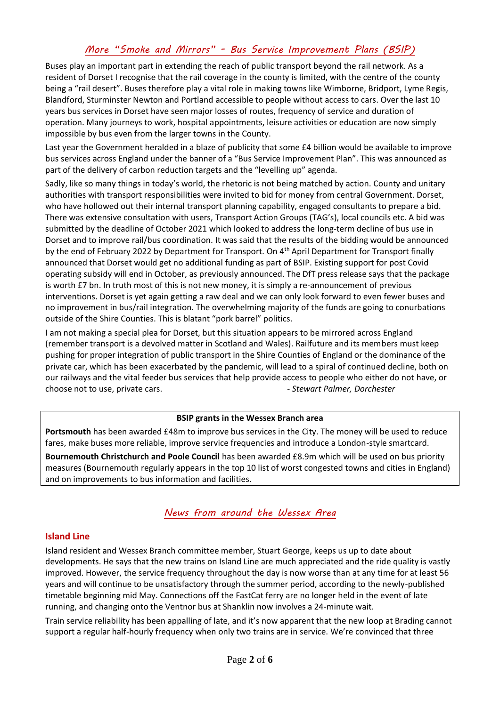# *More "Smoke and Mirrors" - Bus Service Improvement Plans (BSIP)*

Buses play an important part in extending the reach of public transport beyond the rail network. As a resident of Dorset I recognise that the rail coverage in the county is limited, with the centre of the county being a "rail desert". Buses therefore play a vital role in making towns like Wimborne, Bridport, Lyme Regis, Blandford, Sturminster Newton and Portland accessible to people without access to cars. Over the last 10 years bus services in Dorset have seen major losses of routes, frequency of service and duration of operation. Many journeys to work, hospital appointments, leisure activities or education are now simply impossible by bus even from the larger towns in the County.

Last year the Government heralded in a blaze of publicity that some £4 billion would be available to improve bus services across England under the banner of a "Bus Service Improvement Plan". This was announced as part of the delivery of carbon reduction targets and the "levelling up" agenda.

Sadly, like so many things in today's world, the rhetoric is not being matched by action. County and unitary authorities with transport responsibilities were invited to bid for money from central Government. Dorset, who have hollowed out their internal transport planning capability, engaged consultants to prepare a bid. There was extensive consultation with users, Transport Action Groups (TAG's), local councils etc. A bid was submitted by the deadline of October 2021 which looked to address the long-term decline of bus use in Dorset and to improve rail/bus coordination. It was said that the results of the bidding would be announced by the end of February 2022 by Department for Transport. On 4th April Department for Transport finally announced that Dorset would get no additional funding as part of BSIP. Existing support for post Covid operating subsidy will end in October, as previously announced. The DfT press release says that the package is worth £7 bn. In truth most of this is not new money, it is simply a re-announcement of previous interventions. Dorset is yet again getting a raw deal and we can only look forward to even fewer buses and no improvement in bus/rail integration. The overwhelming majority of the funds are going to conurbations outside of the Shire Counties. This is blatant "pork barrel" politics.

I am not making a special plea for Dorset, but this situation appears to be mirrored across England (remember transport is a devolved matter in Scotland and Wales). Railfuture and its members must keep pushing for proper integration of public transport in the Shire Counties of England or the dominance of the private car, which has been exacerbated by the pandemic, will lead to a spiral of continued decline, both on our railways and the vital feeder bus services that help provide access to people who either do not have, or choose not to use, private cars. - *Stewart Palmer, Dorchester*

#### **BSIP grants in the Wessex Branch area**

**Portsmouth** has been awarded £48m to improve bus services in the City. The money will be used to reduce fares, make buses more reliable, improve service frequencies and introduce a London-style smartcard.

**Bournemouth Christchurch and Poole Council** has been awarded £8.9m which will be used on bus priority measures (Bournemouth regularly appears in the top 10 list of worst congested towns and cities in England) and on improvements to bus information and facilities.

*News from around the Wessex Area*

#### **Island Line**

Island resident and Wessex Branch committee member, Stuart George, keeps us up to date about developments. He says that the new trains on Island Line are much appreciated and the ride quality is vastly improved. However, the service frequency throughout the day is now worse than at any time for at least 56 years and will continue to be unsatisfactory through the summer period, according to the newly-published timetable beginning mid May. Connections off the FastCat ferry are no longer held in the event of late running, and changing onto the Ventnor bus at Shanklin now involves a 24-minute wait.

Train service reliability has been appalling of late, and it's now apparent that the new loop at Brading cannot support a regular half-hourly frequency when only two trains are in service. We're convinced that three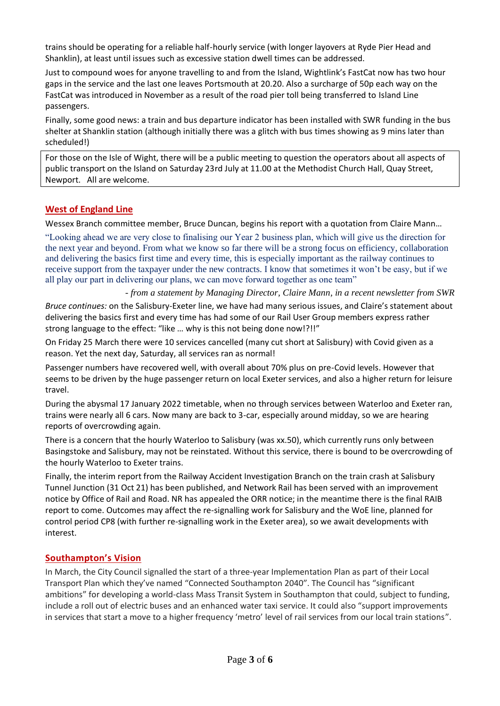trains should be operating for a reliable half-hourly service (with longer layovers at Ryde Pier Head and Shanklin), at least until issues such as excessive station dwell times can be addressed.

Just to compound woes for anyone travelling to and from the Island, Wightlink's FastCat now has two hour gaps in the service and the last one leaves Portsmouth at 20.20. Also a surcharge of 50p each way on the FastCat was introduced in November as a result of the road pier toll being transferred to Island Line passengers.

Finally, some good news: a train and bus departure indicator has been installed with SWR funding in the bus shelter at Shanklin station (although initially there was a glitch with bus times showing as 9 mins later than scheduled!)

For those on the Isle of Wight, there will be a public meeting to question the operators about all aspects of public transport on the Island on Saturday 23rd July at 11.00 at the Methodist Church Hall, Quay Street, Newport. All are welcome.

#### **West of England Line**

Wessex Branch committee member, Bruce Duncan, begins his report with a quotation from Claire Mann…

"Looking ahead we are very close to finalising our Year 2 business plan, which will give us the direction for the next year and beyond. From what we know so far there will be a strong focus on efficiency, collaboration and delivering the basics first time and every time, this is especially important as the railway continues to receive support from the taxpayer under the new contracts. I know that sometimes it won't be easy, but if we all play our part in delivering our plans, we can move forward together as one team"

*- from a statement by Managing Director, Claire Mann, in a recent newsletter from SWR Bruce continues:* on the Salisbury-Exeter line, we have had many serious issues, and Claire's statement about delivering the basics first and every time has had some of our Rail User Group members express rather strong language to the effect: "like … why is this not being done now!?!!"

On Friday 25 March there were 10 services cancelled (many cut short at Salisbury) with Covid given as a reason. Yet the next day, Saturday, all services ran as normal!

Passenger numbers have recovered well, with overall about 70% plus on pre-Covid levels. However that seems to be driven by the huge passenger return on local Exeter services, and also a higher return for leisure travel.

During the abysmal 17 January 2022 timetable, when no through services between Waterloo and Exeter ran, trains were nearly all 6 cars. Now many are back to 3-car, especially around midday, so we are hearing reports of overcrowding again.

There is a concern that the hourly Waterloo to Salisbury (was xx.50), which currently runs only between Basingstoke and Salisbury, may not be reinstated. Without this service, there is bound to be overcrowding of the hourly Waterloo to Exeter trains.

Finally, the interim report from the Railway Accident Investigation Branch on the train crash at Salisbury Tunnel Junction (31 Oct 21) has been published, and Network Rail has been served with an improvement notice by Office of Rail and Road. NR has appealed the ORR notice; in the meantime there is the final RAIB report to come. Outcomes may affect the re-signalling work for Salisbury and the WoE line, planned for control period CP8 (with further re-signalling work in the Exeter area), so we await developments with interest.

#### **Southampton's Vision**

In March, the City Council signalled the start of a three-year Implementation Plan as part of their Local Transport Plan which they've named "Connected Southampton 2040". The Council has "significant ambitions" for developing a world-class Mass Transit System in Southampton that could, subject to funding, include a roll out of electric buses and an enhanced water taxi service. It could also "support improvements in services that start a move to a higher frequency 'metro' level of rail services from our local train stations".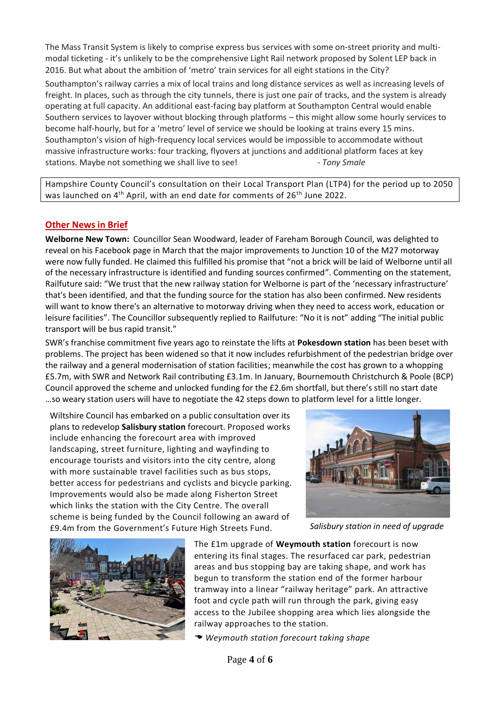The Mass Transit System is likely to comprise express bus services with some on-street priority and multimodal ticketing - it's unlikely to be the comprehensive Light Rail network proposed by Solent LEP back in 2016. But what about the ambition of 'metro' train services for all eight stations in the City?

Southampton's railway carries a mix of local trains and long distance services as well as increasing levels of freight. In places, such as through the city tunnels, there is just one pair of tracks, and the system is already operating at full capacity. An additional east-facing bay platform at Southampton Central would enable Southern services to layover without blocking through platforms – this might allow some hourly services to become half-hourly, but for a 'metro' level of service we should be looking at trains every 15 mins. Southampton's vision of high-frequency local services would be impossible to accommodate without massive infrastructure works: four tracking, flyovers at junctions and additional platform faces at key stations. Maybe not something we shall live to see! *- Tony Smale* 

Hampshire County Council's consultation on their Local Transport Plan (LTP4) for the period up to 2050 was launched on 4<sup>th</sup> April, with an end date for comments of 26<sup>th</sup> June 2022.

#### **Other News in Brief**

**Welborne New Town:** Councillor Sean Woodward, leader of Fareham Borough Council, was delighted to reveal on his Facebook page in March that the major improvements to Junction 10 of the M27 motorway were now fully funded. He claimed this fulfilled his promise that "not a brick will be laid of Welborne until all of the necessary infrastructure is identified and funding sources confirmed". Commenting on the statement, Railfuture said: "We trust that the new railway station for Welborne is part of the 'necessary infrastructure' that's been identified, and that the funding source for the station has also been confirmed. New residents will want to know there's an alternative to motorway driving when they need to access work, education or leisure facilities". The Councillor subsequently replied to Railfuture: "No it is not" adding "The initial public transport will be bus rapid transit."

SWR's franchise commitment five years ago to reinstate the lifts at **Pokesdown station** has been beset with problems. The project has been widened so that it now includes refurbishment of the pedestrian bridge over the railway and a general modernisation of station facilities; meanwhile the cost has grown to a whopping £5.7m, with SWR and Network Rail contributing £3.1m. In January, Bournemouth Christchurch & Poole (BCP) Council approved the scheme and unlocked funding for the £2.6m shortfall, but there's still no start date …so weary station users will have to negotiate the 42 steps down to platform level for a little longer.

Wiltshire Council has embarked on a public consultation over its plans to redevelop **Salisbury station** forecourt. Proposed works include enhancing the forecourt area with improved landscaping, street furniture, lighting and wayfinding to encourage tourists and visitors into the city centre, along with more sustainable travel facilities such as bus stops, better access for pedestrians and cyclists and bicycle parking. Improvements would also be made along Fisherton Street which links the station with the City Centre. The overall scheme is being funded by the Council following an award of £9.4m from the Government's Future High Streets Fund. *Salisbury station in need of upgrade*





The £1m upgrade of **Weymouth station** forecourt is now entering its final stages. The resurfaced car park, pedestrian areas and bus stopping bay are taking shape, and work has begun to transform the station end of the former harbour tramway into a linear "railway heritage" park. An attractive foot and cycle path will run through the park, giving easy access to the Jubilee shopping area which lies alongside the railway approaches to the station.

*Weymouth station forecourt taking shape*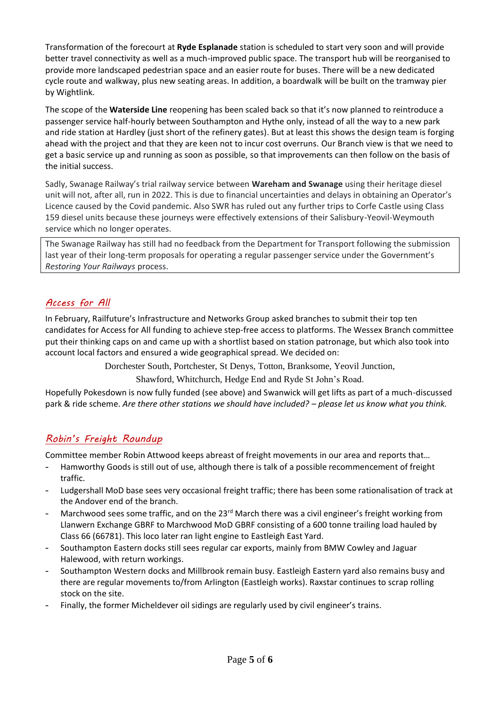Transformation of the forecourt at **Ryde Esplanade** station is scheduled to start very soon and will provide better travel connectivity as well as a much-improved public space. The transport hub will be reorganised to provide more landscaped pedestrian space and an easier route for buses. There will be a new dedicated cycle route and walkway, plus new seating areas. In addition, a boardwalk will be built on the tramway pier by Wightlink.

The scope of the **Waterside Line** reopening has been scaled back so that it's now planned to reintroduce a passenger service half-hourly between Southampton and Hythe only, instead of all the way to a new park and ride station at Hardley (just short of the refinery gates). But at least this shows the design team is forging ahead with the project and that they are keen not to incur cost overruns. Our Branch view is that we need to get a basic service up and running as soon as possible, so that improvements can then follow on the basis of the initial success.

Sadly, Swanage Railway's trial railway service between **Wareham and Swanage** using their heritage diesel unit will not, after all, run in 2022. This is due to financial uncertainties and delays in obtaining an Operator's Licence caused by the Covid pandemic. Also SWR has ruled out any further trips to Corfe Castle using Class 159 diesel units because these journeys were effectively extensions of their Salisbury-Yeovil-Weymouth service which no longer operates.

The Swanage Railway has still had no feedback from the Department for Transport following the submission last year of their long-term proposals for operating a regular passenger service under the Government's *Restoring Your Railways* process.

### *Access for All*

In February, Railfuture's Infrastructure and Networks Group asked branches to submit their top ten candidates for Access for All funding to achieve step-free access to platforms. The Wessex Branch committee put their thinking caps on and came up with a shortlist based on station patronage, but which also took into account local factors and ensured a wide geographical spread. We decided on:

> Dorchester South, Portchester, St Denys, Totton, Branksome, Yeovil Junction, Shawford, Whitchurch, Hedge End and Ryde St John's Road.

Hopefully Pokesdown is now fully funded (see above) and Swanwick will get lifts as part of a much-discussed park & ride scheme. *Are there other stations we should have included? – please let us know what you think.*

# *Robin's Freight Roundup*

Committee member Robin Attwood keeps abreast of freight movements in our area and reports that…

- Hamworthy Goods is still out of use, although there is talk of a possible recommencement of freight traffic.
- Ludgershall MoD base sees very occasional freight traffic; there has been some rationalisation of track at the Andover end of the branch.
- Marchwood sees some traffic, and on the 23<sup>rd</sup> March there was a civil engineer's freight working from Llanwern Exchange GBRF to Marchwood MoD GBRF consisting of a 600 tonne trailing load hauled by Class 66 (66781). This loco later ran light engine to Eastleigh East Yard.
- Southampton Eastern docks still sees regular car exports, mainly from BMW Cowley and Jaguar Halewood, with return workings.
- Southampton Western docks and Millbrook remain busy. Eastleigh Eastern yard also remains busy and there are regular movements to/from Arlington (Eastleigh works). Raxstar continues to scrap rolling stock on the site.
- Finally, the former Micheldever oil sidings are regularly used by civil engineer's trains.